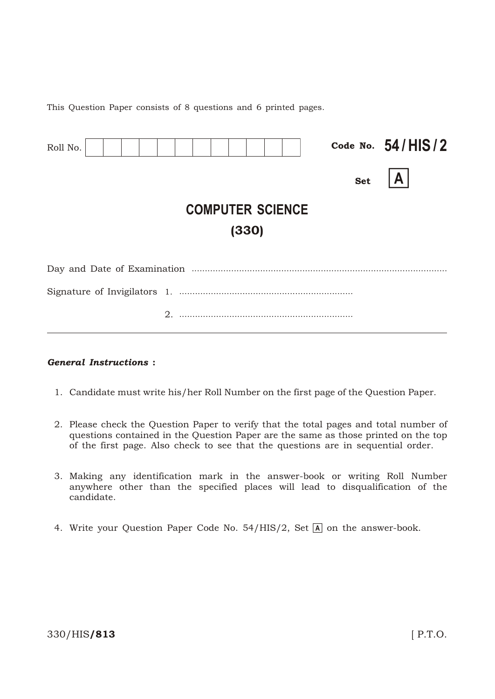This Question Paper consists of 8 questions and 6 printed pages.

| Roll No.                         |  |  |            | Code No. $54/HIS/2$ |  |  |  |
|----------------------------------|--|--|------------|---------------------|--|--|--|
|                                  |  |  | <b>Set</b> |                     |  |  |  |
| <b>COMPUTER SCIENCE</b><br>(330) |  |  |            |                     |  |  |  |
|                                  |  |  |            |                     |  |  |  |
|                                  |  |  |            |                     |  |  |  |
|                                  |  |  |            |                     |  |  |  |

#### **General Instructions:**

- 1. Candidate must write his/her Roll Number on the first page of the Question Paper.
- 2. Please check the Question Paper to verify that the total pages and total number of questions contained in the Question Paper are the same as those printed on the top of the first page. Also check to see that the questions are in sequential order.
- 3. Making any identification mark in the answer-book or writing Roll Number anywhere other than the specified places will lead to disqualification of the candidate.
- 4. Write your Question Paper Code No. 54/HIS/2, Set A on the answer-book.

#### 330/HIS/813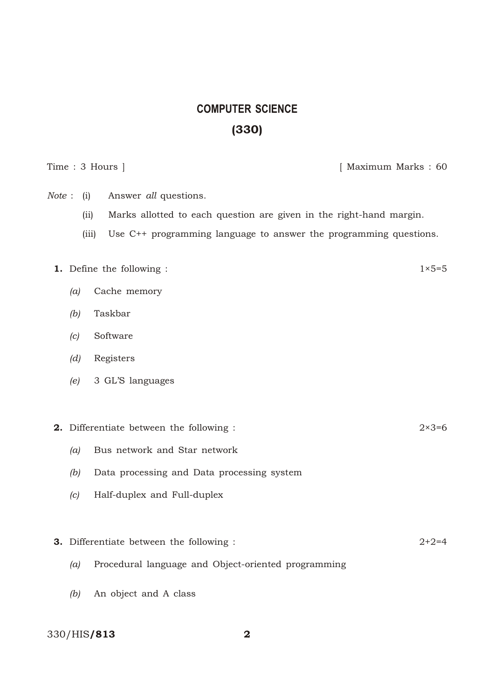# **COMPUTER SCIENCE** (330)

Time : 3 Hours ] [ Maximum Marks : 60

- *Note* : (i) Answer *all* questions.
	- (ii) Marks allotted to each question are given in the right-hand margin.
	- (iii) Use  $C_{++}$  programming language to answer the programming questions.

# **1.** Define the following :  $1 \times 5=5$

- *(a)* Cache memory
- *(b)* Taskbar
- *(c)* Software
- *(d)* Registers
- *(e)* 3 GL'S languages

## **2.** Differentiate between the following :  $2 \times 3 = 6$

- *(a)* Bus network and Star network
- *(b)* Data processing and Data processing system
- *(c)* Half-duplex and Full-duplex

#### **3.** Differentiate between the following :  $2+2=4$

- *(a)* Procedural language and Object-oriented programming
- *(b)* An object and A class

## 330/HIS/813 2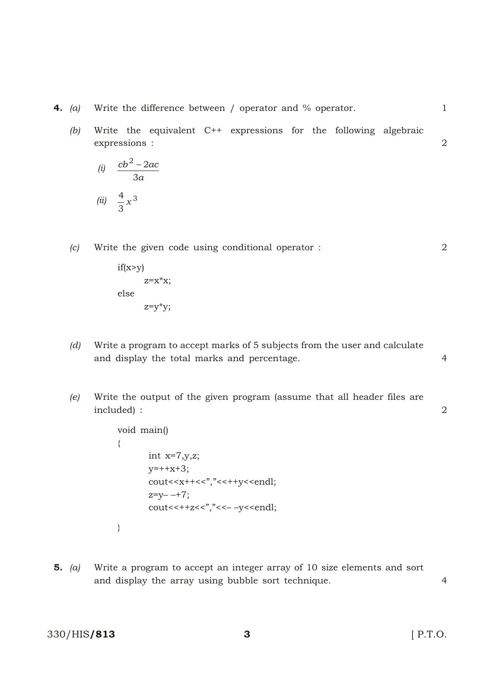**4.** (a) Write the difference between / operator and % operator. 1

(b) Write the equivalent C++ expressions for the following algebraic expressions : 
$$
\qquad
$$
 2

(i) 
$$
\frac{cb^2 - 2ac}{3a}
$$
  
(ii) 
$$
\frac{4}{3}x^3
$$

*(c)* Write the given code using conditional operator : 2

if(x>y)  
\n
$$
z=x*x;
$$
  
\nelse  
\n $z=y*y;$ 

- *(d)* Write a program to accept marks of 5 subjects from the user and calculate and display the total marks and percentage. 4
- *(e)* Write the output of the given program (assume that all header files are included) : 2

```
void main()
{
            int x=7,y,z;y=++x+3;cout << x + + < < ", " << < + + y << endl;
            z=y-++7;\text{cout} \leq \text{++} \leq \leq \text{''}, \text{''} \leq \text{--} \leq \text{''} \leq \text{end}}
```
5. *(a)* Write a program to accept an integer array of 10 size elements and sort and display the array using bubble sort technique. 4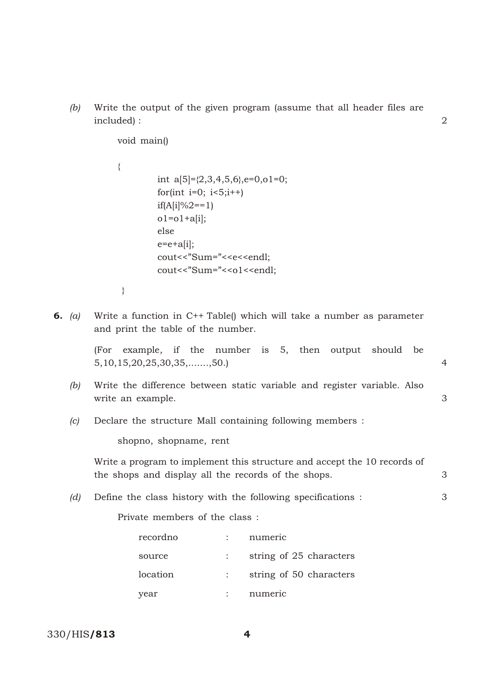*(b)* Write the output of the given program (assume that all header files are included) : 2

void main()

|    |     | $\{$                                                                                                                            |                |  |  |  |
|----|-----|---------------------------------------------------------------------------------------------------------------------------------|----------------|--|--|--|
|    |     | int a[5]= $\{2,3,4,5,6\}$ ,e=0,o1=0;                                                                                            |                |  |  |  |
|    |     | for(int i=0; $i < 5; i++)$                                                                                                      |                |  |  |  |
|    |     | if(A[i]\%2==1)                                                                                                                  |                |  |  |  |
|    |     | $o1 = o1 + a[i];$                                                                                                               |                |  |  |  |
|    |     | else                                                                                                                            |                |  |  |  |
|    |     | $e=e+a[i];$                                                                                                                     |                |  |  |  |
|    |     | cout<<"Sum="< <e<<endl;< th=""><th></th></e<<endl;<>                                                                            |                |  |  |  |
|    |     | cout<<"Sum="< <o1<<endl;< th=""><th></th></o1<<endl;<>                                                                          |                |  |  |  |
|    |     | $\}$                                                                                                                            |                |  |  |  |
| 6. | (a) | Write a function in C++ Table() which will take a number as parameter<br>and print the table of the number.                     |                |  |  |  |
|    |     | example, if the number is 5, then output<br>should<br>(For<br>be<br>$5, 10, 15, 20, 25, 30, 35, \ldots, 50.$                    | $\overline{4}$ |  |  |  |
|    | (b) | Write the difference between static variable and register variable. Also<br>write an example.                                   | 3              |  |  |  |
|    | (c) | Declare the structure Mall containing following members :                                                                       |                |  |  |  |
|    |     | shopno, shopname, rent                                                                                                          |                |  |  |  |
|    |     | Write a program to implement this structure and accept the 10 records of<br>the shops and display all the records of the shops. | 3              |  |  |  |
|    | (d) | Define the class history with the following specifications :                                                                    | 3              |  |  |  |
|    |     | Private members of the class:                                                                                                   |                |  |  |  |
|    |     | recordno<br>numeric                                                                                                             |                |  |  |  |
|    |     | string of 25 characters<br>source                                                                                               |                |  |  |  |
|    |     | location<br>string of 50 characters                                                                                             |                |  |  |  |
|    |     | numeric<br>year                                                                                                                 |                |  |  |  |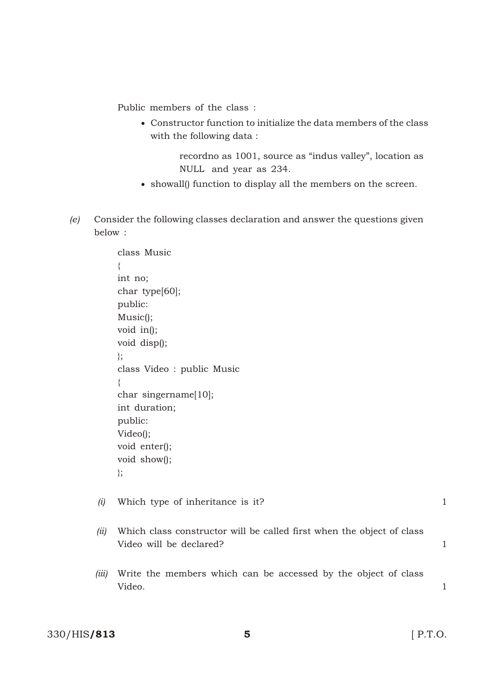Public members of the class:

 Constructor function to initialize the data members of the class with the following data :

> recordno as 1001, source as "indus valley", location as NULL and year as 234.

- showall() function to display all the members on the screen.
- *(e)* Consider the following classes declaration and answer the questions given below :

```
class Music
{
int no;
char type[60];
public:
Music();
void in();
void disp();
};
class Video : public Music
{
char singername[10];
int duration;
public:
Video();
void enter();
void show();
};
```
*(i)* Which type of inheritance is it? 1

- *(ii)* Which class constructor will be called first when the object of class Video will be declared? 1
- *(iii)* Write the members which can be accessed by the object of class Video. 1